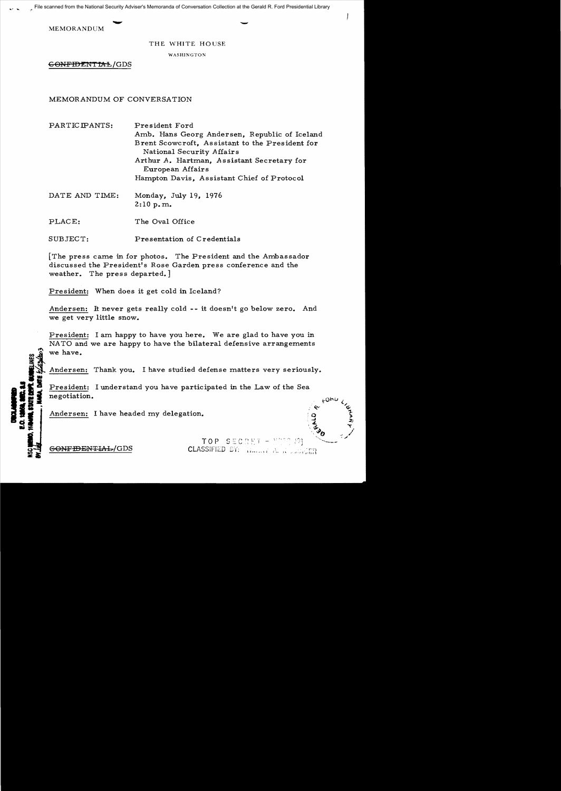MEMORANDUM

THE WHITE HOUSE

WASHINGTON

GONFIDENTIAL/GDS

MEMORANDUM OF CONVERSATION

PARTICIPANTS: President Ford Amb. Hans Georg Andersen, Republic of Iceland Brent Scowcroft, Assistant to the President for National Security Affairs Arthur *A.* Hartman, Assistant Secretary for European Affairs Hampton Davis, Assistant Chief of Protocol

DATE AND TIME: Monday, July 19, 1976 2:10 p. m.

PLACE: The Oval Office

SUBJECT: Presentation of Credentials

[The press came in for photos. The President and the Ambassador discussed the President's Rose Garden press conference and the weather. The press departed.]

President: When does it get cold in Iceland?

Andersen: It never gets really cold -- it doesn't go below zero. And we get very little snow.

President: I am happy to have you here. We are glad to have you in NATO and we are happy to have the bilateral defensive arrangements we have.

Andersen: Thank you. I have studied defense matters very seriously.

President: I understand you have participated in the Law of the Sea **-.:1** negotiation.

Andersen: I have headed my delegation.

1921 1922<br>1922 1924 1925<br>1942 1928 1929 12, 14<br>DOM, 01<br>Li, DIFE **-=** 

!!"\

TOP SECRET - MILL 12 **GONFIDENTIAL/GDS CLASSIFIED BY:**  $\liminf_{n\to\infty}\limsup_{n\to\infty}$ 

eanu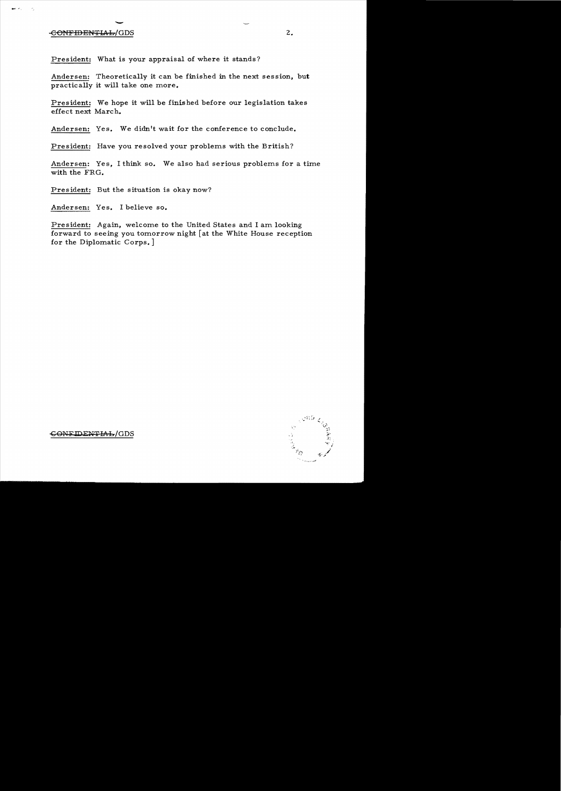## entitlement of the contract of the contract of the contract of the contract of the contract of the contract of the contract of the contract of the contract of the contract of the contract of the contract of the contract of

aven little

 $\overline{\phantom{a}}$  ,

President: What is your appraisal of where it stands?

Andersen: Theoretically it can be finished in the next session, but practically it will take one more.

President: We hope it will be finished before our legislation takes effect next March.

Andersen: Yes. We didn't wait for the conference to conclude.

President: Have you resolved your problems with the British?

Andersen: Yes, I think so. We also had serious problems for a time with the FRG.

President: But the situation is okay now?

Andersen: Yes. I believe so.

President: Again, welcome to the United States and I am looking forward to seeing you tomorrow night [at the White House reception for the Diplomatic Corps.]



~O~+FlDEWTIAh/GDS